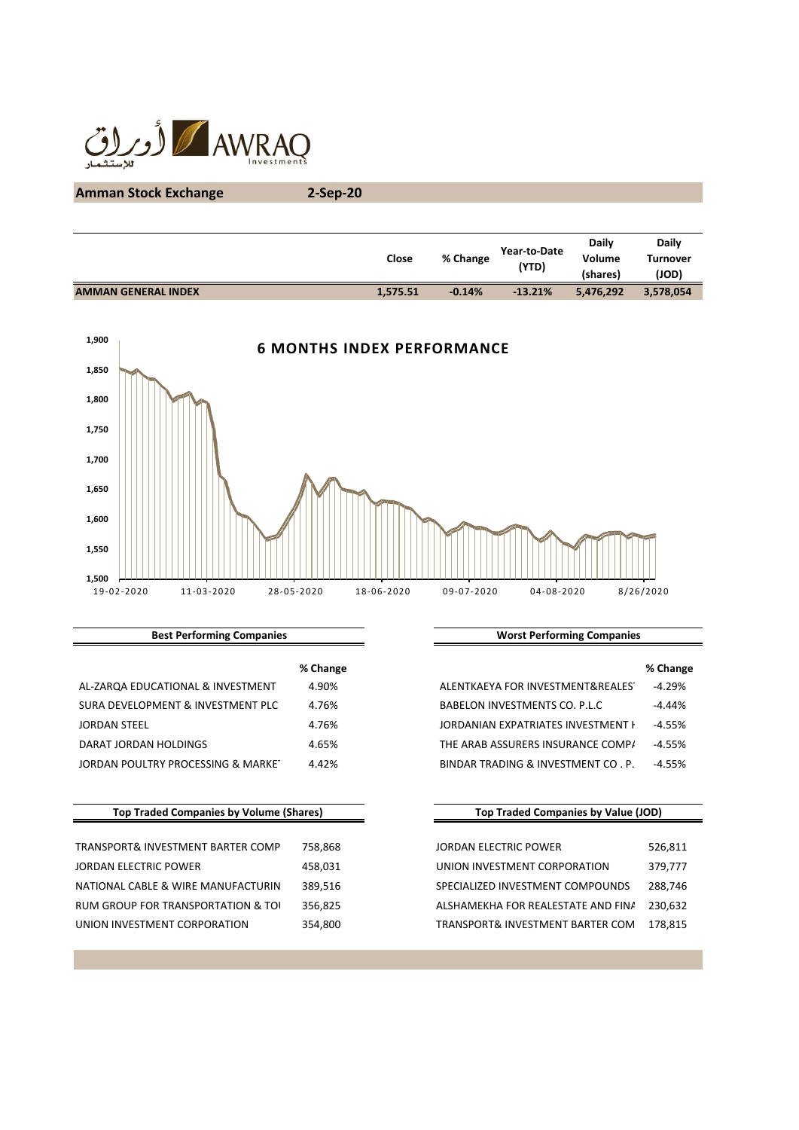

# **Amman Stock Exchange 2-Sep-20**

|                            | Close    | % Change | Year-to-Date<br>(YTD) | <b>Daily</b><br>Volume<br>(shares) | <b>Daily</b><br><b>Turnover</b><br>(JOD) |
|----------------------------|----------|----------|-----------------------|------------------------------------|------------------------------------------|
| <b>AMMAN GENERAL INDEX</b> | 1,575.51 | $-0.14%$ | $-13.21%$             | 5,476,292                          | 3,578,054                                |
|                            |          |          |                       |                                    |                                          |



### **Best Performing Companies**

|                                    | % Change |                                    | % Change  |
|------------------------------------|----------|------------------------------------|-----------|
| AL-ZARQA EDUCATIONAL & INVESTMENT  | 4.90%    | ALENTKAEYA FOR INVESTMENT&REALES   | -4.29%    |
| SURA DEVELOPMENT & INVESTMENT PLC  | 4.76%    | BABELON INVESTMENTS CO. P.L.C      | $-4.44\%$ |
| JORDAN STEEL                       | 4.76%    | JORDANIAN EXPATRIATES INVESTMENT H | -4.55%    |
| DARAT JORDAN HOLDINGS              | 4.65%    | THE ARAB ASSURERS INSURANCE COMP/  | -4.55%    |
| JORDAN POULTRY PROCESSING & MARKET | 4.42%    | BINDAR TRADING & INVESTMENT CO. P. | -4.55%    |

# **Top Traded Companies by Volume (Shares)**

| TRANSPORT& INVESTMENT BARTER COMP  | 758.868 | JORDAN ELECTRIC POWER              | 526,811 |
|------------------------------------|---------|------------------------------------|---------|
| JORDAN ELECTRIC POWER              | 458,031 | UNION INVESTMENT CORPORATION       | 379,777 |
| NATIONAL CABLE & WIRE MANUFACTURIN | 389.516 | SPECIALIZED INVESTMENT COMPOUNDS   | 288.746 |
| RUM GROUP FOR TRANSPORTATION & TOI | 356.825 | ALSHAMEKHA FOR REALESTATE AND FINA | 230.632 |
| UNION INVESTMENT CORPORATION       | 354.800 | TRANSPORT& INVESTMENT BARTER COM   | 178.815 |

### **Worst Performing Companies**

| % Change |                                    | % Change |
|----------|------------------------------------|----------|
| 4.90%    | ALENTKAEYA FOR INVESTMENT&REALES   | $-4.29%$ |
| 4.76%    | BABELON INVESTMENTS CO. P.L.C.     | $-4.44%$ |
| 4.76%    | JORDANIAN EXPATRIATES INVESTMENT F | $-4.55%$ |
| 4.65%    | THE ARAB ASSURERS INSURANCE COMP/  | $-4.55%$ |
| 4.42%    | BINDAR TRADING & INVESTMENT CO. P. | $-4.55%$ |
|          |                                    |          |

# **Top Traded Companies by Value (JOD)**

| <b>JORDAN ELECTRIC POWER</b>       | 526,811 |
|------------------------------------|---------|
| UNION INVESTMENT CORPORATION       | 379,777 |
| SPECIALIZED INVESTMENT COMPOUNDS   | 288.746 |
| ALSHAMEKHA FOR REALESTATE AND FINA | 230.632 |
| TRANSPORT& INVESTMENT BARTER COM   | 178.815 |